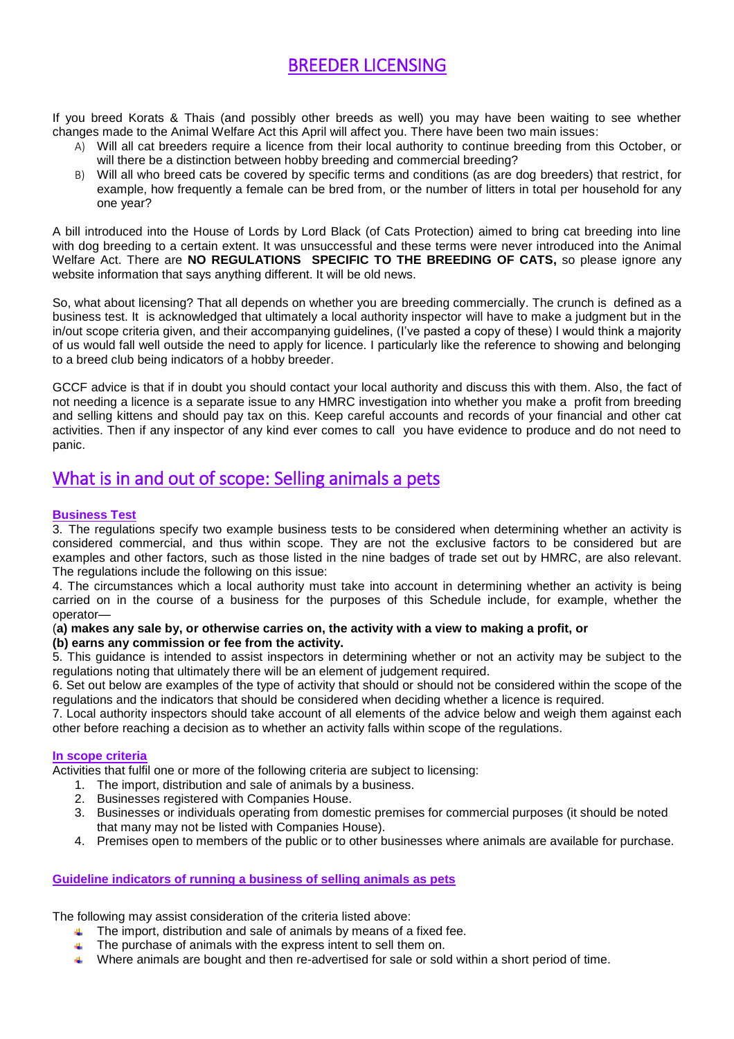# BREEDER LICENSING

If you breed Korats & Thais (and possibly other breeds as well) you may have been waiting to see whether changes made to the Animal Welfare Act this April will affect you. There have been two main issues:

- A) Will all cat breeders require a licence from their local authority to continue breeding from this October, or will there be a distinction between hobby breeding and commercial breeding?
- B) Will all who breed cats be covered by specific terms and conditions (as are dog breeders) that restrict, for example, how frequently a female can be bred from, or the number of litters in total per household for any one year?

A bill introduced into the House of Lords by Lord Black (of Cats Protection) aimed to bring cat breeding into line with dog breeding to a certain extent. It was unsuccessful and these terms were never introduced into the Animal Welfare Act. There are **NO REGULATIONS SPECIFIC TO THE BREEDING OF CATS,** so please ignore any website information that says anything different. It will be old news.

So, what about licensing? That all depends on whether you are breeding commercially. The crunch is defined as a business test. It is acknowledged that ultimately a local authority inspector will have to make a judgment but in the in/out scope criteria given, and their accompanying guidelines, (I've pasted a copy of these) I would think a majority of us would fall well outside the need to apply for licence. I particularly like the reference to showing and belonging to a breed club being indicators of a hobby breeder.

GCCF advice is that if in doubt you should contact your local authority and discuss this with them. Also, the fact of not needing a licence is a separate issue to any HMRC investigation into whether you make a profit from breeding and selling kittens and should pay tax on this. Keep careful accounts and records of your financial and other cat activities. Then if any inspector of any kind ever comes to call you have evidence to produce and do not need to panic.

# What is in and out of scope: Selling animals a pets

## **Business Test**

3. The regulations specify two example business tests to be considered when determining whether an activity is considered commercial, and thus within scope. They are not the exclusive factors to be considered but are examples and other factors, such as those listed in the nine badges of trade set out by HMRC, are also relevant. The regulations include the following on this issue:

4. The circumstances which a local authority must take into account in determining whether an activity is being carried on in the course of a business for the purposes of this Schedule include, for example, whether the operator—

#### (a) makes any sale by, or otherwise carries on, the activity with a view to making a profit, or **(b) earns any commission or fee from the activity.**

5. This guidance is intended to assist inspectors in determining whether or not an activity may be subject to the regulations noting that ultimately there will be an element of judgement required.

6. Set out below are examples of the type of activity that should or should not be considered within the scope of the regulations and the indicators that should be considered when deciding whether a licence is required.

7. Local authority inspectors should take account of all elements of the advice below and weigh them against each other before reaching a decision as to whether an activity falls within scope of the regulations.

## **In scope criteria**

Activities that fulfil one or more of the following criteria are subject to licensing:

- 1. The import, distribution and sale of animals by a business.
- 2. Businesses registered with Companies House.
- 3. Businesses or individuals operating from domestic premises for commercial purposes (it should be noted that many may not be listed with Companies House).
- 4. Premises open to members of the public or to other businesses where animals are available for purchase.

## **Guideline indicators of running a business of selling animals as pets**

The following may assist consideration of the criteria listed above:

- **The import, distribution and sale of animals by means of a fixed fee.**
- $\uparrow$  The purchase of animals with the express intent to sell them on.
- **ALC:** Where animals are bought and then re-advertised for sale or sold within a short period of time.